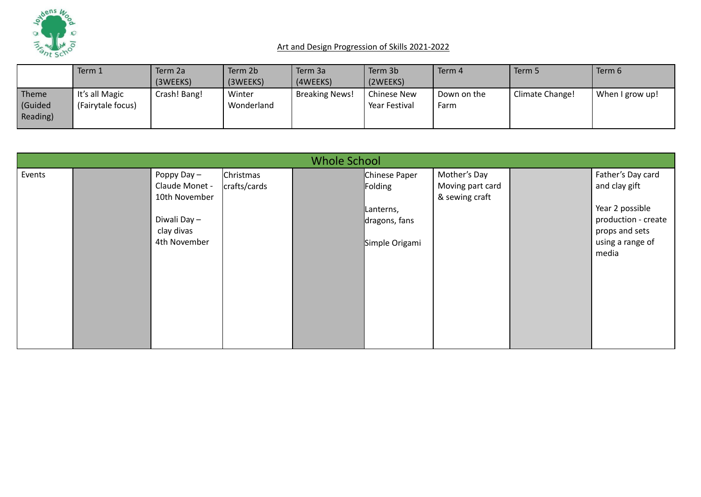

|                             | Term 1                              | Term 2a      | Term 2b              | Term 3a               | Term 3b                      | Term 4              | Term 5          | Term 6          |
|-----------------------------|-------------------------------------|--------------|----------------------|-----------------------|------------------------------|---------------------|-----------------|-----------------|
|                             |                                     | (3WEEKS)     | (3WEEKS)             | (4WEEKS)              | (2WEEKS)                     |                     |                 |                 |
| Theme<br>Guided<br>Reading) | It's all Magic<br>(Fairytale focus) | Crash! Bang! | Winter<br>Wonderland | <b>Breaking News!</b> | Chinese New<br>Year Festival | Down on the<br>Farm | Climate Change! | When I grow up! |

|        |                                                                                             |                           | <b>Whole School</b> |                                                                          |                                                    |                                                                                                                             |
|--------|---------------------------------------------------------------------------------------------|---------------------------|---------------------|--------------------------------------------------------------------------|----------------------------------------------------|-----------------------------------------------------------------------------------------------------------------------------|
| Events | Poppy Day -<br>Claude Monet -<br>10th November<br>Diwali Day-<br>clay divas<br>4th November | Christmas<br>crafts/cards |                     | Chinese Paper<br>Folding<br>Lanterns,<br>dragons, fans<br>Simple Origami | Mother's Day<br>Moving part card<br>& sewing craft | Father's Day card<br>and clay gift<br>Year 2 possible<br>production - create<br>props and sets<br>using a range of<br>media |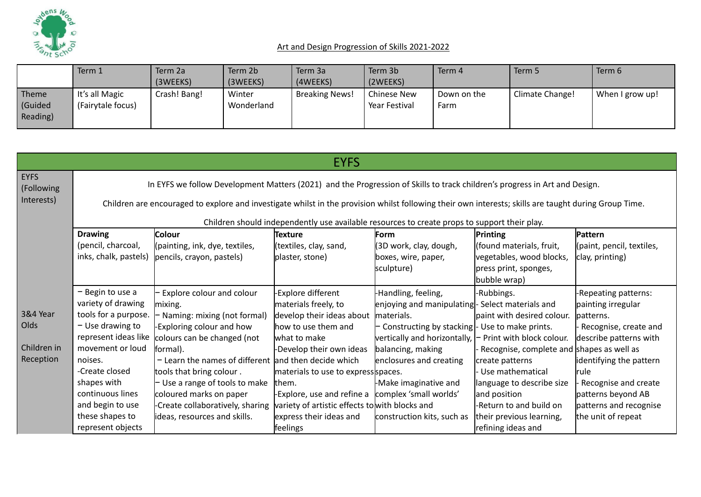

|                             | Term 1                              | Term 2a      | Term 2b              | Term 3a               | Term 3b                             | Term 4              | Term 5          | Term 6          |
|-----------------------------|-------------------------------------|--------------|----------------------|-----------------------|-------------------------------------|---------------------|-----------------|-----------------|
|                             |                                     | (3WEEKS)     | (3WEEKS)             | (4WEEKS)              | (2WEEKS)                            |                     |                 |                 |
| Theme<br>Guided<br>Reading) | It's all Magic<br>(Fairytale focus) | Crash! Bang! | Winter<br>Wonderland | <b>Breaking News!</b> | <b>Chinese New</b><br>Year Festival | Down on the<br>Farm | Climate Change! | When I grow up! |

|                           |                                                                                                                                                       |                                                                                                                            | EYFS                                           |                                                                              |                                           |                           |  |  |  |  |  |  |
|---------------------------|-------------------------------------------------------------------------------------------------------------------------------------------------------|----------------------------------------------------------------------------------------------------------------------------|------------------------------------------------|------------------------------------------------------------------------------|-------------------------------------------|---------------------------|--|--|--|--|--|--|
| <b>EYFS</b><br>(Following |                                                                                                                                                       | In EYFS we follow Development Matters (2021) and the Progression of Skills to track children's progress in Art and Design. |                                                |                                                                              |                                           |                           |  |  |  |  |  |  |
| Interests)                | Children are encouraged to explore and investigate whilst in the provision whilst following their own interests; skills are taught during Group Time. |                                                                                                                            |                                                |                                                                              |                                           |                           |  |  |  |  |  |  |
|                           |                                                                                                                                                       | Children should independently use available resources to create props to support their play.                               |                                                |                                                                              |                                           |                           |  |  |  |  |  |  |
|                           | <b>Drawing</b><br>Pattern<br><b>Colour</b><br>Texture<br>Printing<br><b>Form</b>                                                                      |                                                                                                                            |                                                |                                                                              |                                           |                           |  |  |  |  |  |  |
|                           | (pencil, charcoal,                                                                                                                                    | (painting, ink, dye, textiles,                                                                                             | (textiles, clay, sand,                         | (3D work, clay, dough,                                                       | (found materials, fruit,                  | (paint, pencil, textiles, |  |  |  |  |  |  |
|                           | inks, chalk, pastels)                                                                                                                                 | pencils, crayon, pastels)                                                                                                  | plaster, stone)                                | boxes, wire, paper,                                                          | vegetables, wood blocks,                  | clay, printing)           |  |  |  |  |  |  |
|                           |                                                                                                                                                       |                                                                                                                            |                                                | sculpture)                                                                   | press print, sponges,                     |                           |  |  |  |  |  |  |
|                           |                                                                                                                                                       |                                                                                                                            |                                                |                                                                              | bubble wrap)                              |                           |  |  |  |  |  |  |
|                           | - Begin to use a<br>- Explore colour and colour                                                                                                       |                                                                                                                            | -Explore different                             | Handling, feeling,                                                           |                                           | -Repeating patterns:      |  |  |  |  |  |  |
|                           | variety of drawing                                                                                                                                    | mixing.                                                                                                                    | materials freely, to                           | enjoying and manipulating- Select materials and                              |                                           | painting irregular        |  |  |  |  |  |  |
| 3&4 Year                  | tools for a purpose.                                                                                                                                  | - Naming: mixing (not formal)                                                                                              | develop their ideas about                      | materials.                                                                   | lpaint with desired colour.               | lpatterns.                |  |  |  |  |  |  |
| Olds                      | $-$ Use drawing to                                                                                                                                    | Exploring colour and how                                                                                                   | how to use them and                            | $\vdash$ Constructing by stacking $\vdash$ Use to make prints.               |                                           | Recognise, create and     |  |  |  |  |  |  |
|                           | represent ideas like                                                                                                                                  | colours can be changed (not                                                                                                | what to make                                   | $\mu$ vertically and horizontally, $\vert \text{-}$ Print with block colour. |                                           | describe patterns with    |  |  |  |  |  |  |
| Children in               | movement or loud                                                                                                                                      | formal).                                                                                                                   | -Develop their own ideas                       | balancing, making                                                            | Recognise, complete and shapes as well as |                           |  |  |  |  |  |  |
| Reception                 | noises.                                                                                                                                               | $-$ Learn the names of different and then decide which                                                                     |                                                | enclosures and creating                                                      | create patterns                           | identifying the pattern   |  |  |  |  |  |  |
|                           | -Create closed                                                                                                                                        | tools that bring colour.                                                                                                   | materials to use to express spaces.            |                                                                              | Use mathematical                          | <b>rule</b>               |  |  |  |  |  |  |
|                           | shapes with                                                                                                                                           | $-$ Use a range of tools to make                                                                                           | them.                                          | Make imaginative and                                                         | language to describe size                 | Recognise and create      |  |  |  |  |  |  |
|                           | continuous lines                                                                                                                                      | coloured marks on paper                                                                                                    | -Explore, use and refine a                     | complex 'small worlds'                                                       | and position                              | patterns beyond AB        |  |  |  |  |  |  |
|                           | and begin to use                                                                                                                                      | -Create collaboratively, sharing                                                                                           | variety of artistic effects to with blocks and |                                                                              | -Return to and build on                   | patterns and recognise    |  |  |  |  |  |  |
|                           | these shapes to                                                                                                                                       | lideas, resources and skills.                                                                                              | express their ideas and                        | construction kits, such as                                                   | their previous learning,                  | the unit of repeat        |  |  |  |  |  |  |
|                           | represent objects                                                                                                                                     |                                                                                                                            | feelings                                       |                                                                              | refining ideas and                        |                           |  |  |  |  |  |  |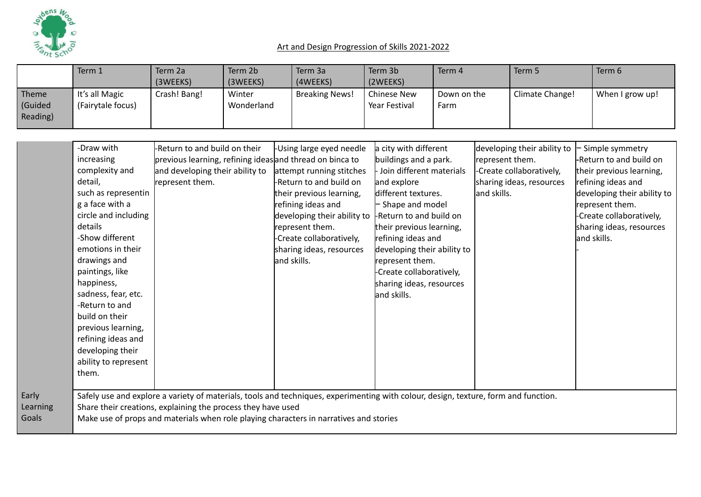

|                             | Term 1                              | Term 2a<br>(3WEEKS) | Term 2b<br>(3WEEKS)  | Term 3a<br>(4WEEKS)   | Term 3b<br>(2WEEKS)                 | Term 4              | Term 5          | Term 6          |
|-----------------------------|-------------------------------------|---------------------|----------------------|-----------------------|-------------------------------------|---------------------|-----------------|-----------------|
| Theme<br>Guided<br>Reading) | It's all Magic<br>(Fairytale focus) | Crash! Bang!        | Winter<br>Wonderland | <b>Breaking News!</b> | <b>Chinese New</b><br>Year Festival | Down on the<br>Farm | Climate Change! | When I grow up! |

|          | -Draw with           | -Return to and build on their                                                                                                       | -Using large eyed needle    | a city with different       | developing their ability to | Simple symmetry             |
|----------|----------------------|-------------------------------------------------------------------------------------------------------------------------------------|-----------------------------|-----------------------------|-----------------------------|-----------------------------|
|          | increasing           | previous learning, refining ideas and thread on binca to                                                                            |                             | buildings and a park.       | represent them.             | -Return to and build on     |
|          | complexity and       | and developing their ability to                                                                                                     | attempt running stitches    | Join different materials    | -Create collaboratively,    | their previous learning,    |
|          | detail,              | represent them.                                                                                                                     | -Return to and build on     | and explore                 | sharing ideas, resources    | refining ideas and          |
|          | such as representin  |                                                                                                                                     |                             | different textures.         | and skills.                 | developing their ability to |
|          | g a face with a      |                                                                                                                                     | their previous learning,    |                             |                             |                             |
|          |                      |                                                                                                                                     | refining ideas and          | - Shape and model           |                             | represent them.             |
|          | circle and including |                                                                                                                                     | developing their ability to | Return to and build on      |                             | -Create collaboratively,    |
|          | details              |                                                                                                                                     | represent them.             | their previous learning,    |                             | sharing ideas, resources    |
|          | -Show different      |                                                                                                                                     | -Create collaboratively,    | refining ideas and          |                             | and skills.                 |
|          | emotions in their    |                                                                                                                                     | sharing ideas, resources    | developing their ability to |                             |                             |
|          | drawings and         |                                                                                                                                     | and skills.                 | represent them.             |                             |                             |
|          | paintings, like      |                                                                                                                                     |                             | -Create collaboratively,    |                             |                             |
|          | happiness,           |                                                                                                                                     |                             | sharing ideas, resources    |                             |                             |
|          | sadness, fear, etc.  |                                                                                                                                     |                             | and skills.                 |                             |                             |
|          | -Return to and       |                                                                                                                                     |                             |                             |                             |                             |
|          | build on their       |                                                                                                                                     |                             |                             |                             |                             |
|          | previous learning,   |                                                                                                                                     |                             |                             |                             |                             |
|          | refining ideas and   |                                                                                                                                     |                             |                             |                             |                             |
|          | developing their     |                                                                                                                                     |                             |                             |                             |                             |
|          | ability to represent |                                                                                                                                     |                             |                             |                             |                             |
|          | them.                |                                                                                                                                     |                             |                             |                             |                             |
|          |                      |                                                                                                                                     |                             |                             |                             |                             |
| Early    |                      | Safely use and explore a variety of materials, tools and techniques, experimenting with colour, design, texture, form and function. |                             |                             |                             |                             |
| Learning |                      | Share their creations, explaining the process they have used                                                                        |                             |                             |                             |                             |
| Goals    |                      | Make use of props and materials when role playing characters in narratives and stories                                              |                             |                             |                             |                             |
|          |                      |                                                                                                                                     |                             |                             |                             |                             |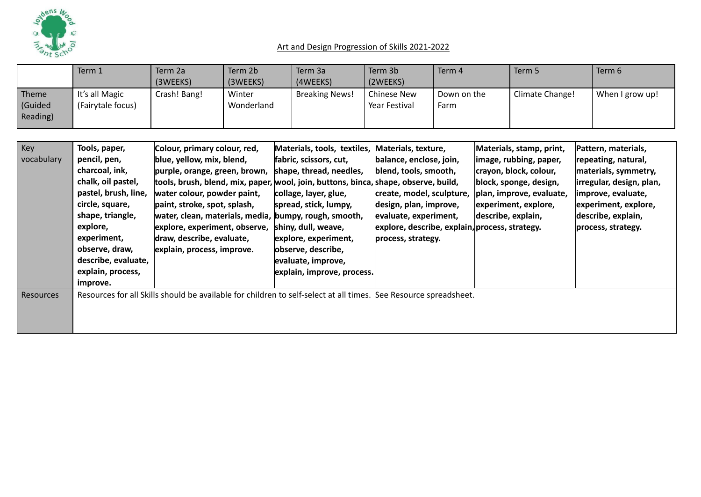

|                              | Term 1                              | Term 2a<br>(3WEEKS) | Term 2b<br>(3WEEKS)  | Term 3a<br>(4WEEKS) | Term 3b<br>(2WEEKS)                 | Term 4              | Term 5          | Term 6          |
|------------------------------|-------------------------------------|---------------------|----------------------|---------------------|-------------------------------------|---------------------|-----------------|-----------------|
| Theme<br>(Guided<br>Reading) | It's all Magic<br>(Fairytale focus) | Crash! Bang!        | Winter<br>Wonderland | Breaking News!      | <b>Chinese New</b><br>Year Festival | Down on the<br>Farm | Climate Change! | When I grow up! |

| Key        | Tools, paper,        | Colour, primary colour, red,                                                                                     | Materials, tools, textiles, | Materials, texture,                            | Materials, stamp, print, | Pattern, materials,      |
|------------|----------------------|------------------------------------------------------------------------------------------------------------------|-----------------------------|------------------------------------------------|--------------------------|--------------------------|
| vocabulary | pencil, pen,         | blue, yellow, mix, blend,                                                                                        | fabric, scissors, cut,      | balance, enclose, join,                        | image, rubbing, paper,   | repeating, natural,      |
|            | charcoal, ink,       | purple, orange, green, brown,                                                                                    | shape, thread, needles,     | blend, tools, smooth,                          | crayon, block, colour,   | materials, symmetry,     |
|            | chalk, oil pastel,   | tools, brush, blend, mix, paper, wool, join, buttons, binca, shape, observe, build,                              |                             |                                                | block, sponge, design,   | irregular, design, plan, |
|            | pastel, brush, line, | water colour, powder paint,                                                                                      | collage, layer, glue,       | create, model, sculpture,                      | plan, improve, evaluate, | improve, evaluate,       |
|            | circle, square,      | paint, stroke, spot, splash,                                                                                     | spread, stick, lumpy,       | design, plan, improve,                         | experiment, explore,     | experiment, explore,     |
|            | shape, triangle,     | water, clean, materials, media, bumpy, rough, smooth,                                                            |                             | evaluate, experiment,                          | describe, explain,       | describe, explain,       |
|            | explore,             | explore, experiment, observe,                                                                                    | shiny, dull, weave,         | explore, describe, explain, process, strategy. |                          | process, strategy.       |
|            | experiment,          | draw, describe, evaluate,                                                                                        | explore, experiment,        | process, strategy.                             |                          |                          |
|            | observe, draw,       | explain, process, improve.                                                                                       | observe, describe,          |                                                |                          |                          |
|            | describe, evaluate,  |                                                                                                                  | evaluate, improve,          |                                                |                          |                          |
|            | explain, process,    |                                                                                                                  | explain, improve, process.  |                                                |                          |                          |
|            | improve.             |                                                                                                                  |                             |                                                |                          |                          |
| Resources  |                      | Resources for all Skills should be available for children to self-select at all times. See Resource spreadsheet. |                             |                                                |                          |                          |
|            |                      |                                                                                                                  |                             |                                                |                          |                          |
|            |                      |                                                                                                                  |                             |                                                |                          |                          |
|            |                      |                                                                                                                  |                             |                                                |                          |                          |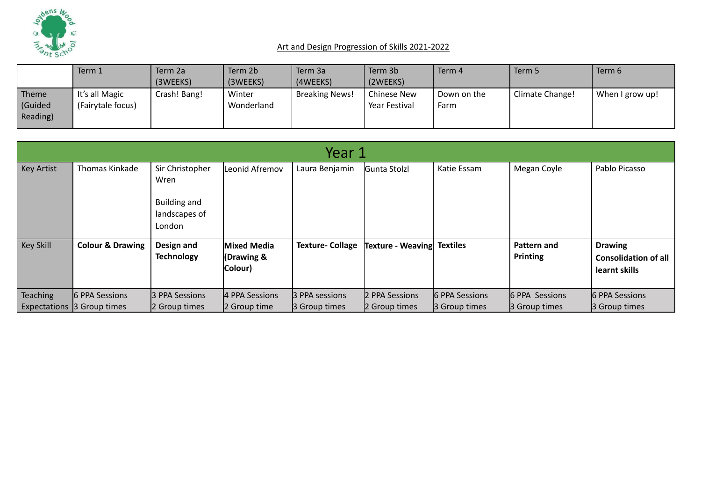

|                             | Term 1                              | Term 2a      | Term 2b              | Term 3a               | Term 3b                      | Term 4              | Term 5          | Term 6          |
|-----------------------------|-------------------------------------|--------------|----------------------|-----------------------|------------------------------|---------------------|-----------------|-----------------|
|                             |                                     | (3WEEKS)     | (3WEEKS)             | (4WEEKS)              | (2WEEKS)                     |                     |                 |                 |
| Theme<br>Guided<br>Reading) | It's all Magic<br>(Fairytale focus) | Crash! Bang! | Winter<br>Wonderland | <b>Breaking News!</b> | Chinese New<br>Year Festival | Down on the<br>Farm | Climate Change! | When I grow up! |

| Year 1                      |                                                |                                 |                                                                        |                                 |                                                 |                                                      |                                                                |  |  |  |  |
|-----------------------------|------------------------------------------------|---------------------------------|------------------------------------------------------------------------|---------------------------------|-------------------------------------------------|------------------------------------------------------|----------------------------------------------------------------|--|--|--|--|
| Thomas Kinkade              | Sir Christopher<br>Wren                        | Leonid Afremov                  | Laura Benjamin                                                         |                                 | Katie Essam                                     | Megan Coyle                                          | Pablo Picasso                                                  |  |  |  |  |
|                             | <b>Building and</b><br>landscapes of<br>London |                                 |                                                                        |                                 |                                                 |                                                      |                                                                |  |  |  |  |
| <b>Colour &amp; Drawing</b> | Design and<br><b>Technology</b>                |                                 | <b>Texture- Collage</b>                                                |                                 | <b>Textiles</b>                                 | Pattern and<br>Printing                              | <b>Drawing</b><br><b>Consolidation of all</b><br>learnt skills |  |  |  |  |
| 6 PPA Sessions              |                                                |                                 |                                                                        |                                 |                                                 |                                                      | 6 PPA Sessions<br>3 Group times                                |  |  |  |  |
|                             | Expectations 3 Group times                     | 3 PPA Sessions<br>2 Group times | Mixed Media<br>(Drawing &<br>Colour)<br>4 PPA Sessions<br>2 Group time | 3 PPA sessions<br>3 Group times | Gunta Stolzl<br>2 PPA Sessions<br>2 Group times | Texture - Weaving<br>6 PPA Sessions<br>3 Group times | 6 PPA Sessions<br><b>B</b> Group times                         |  |  |  |  |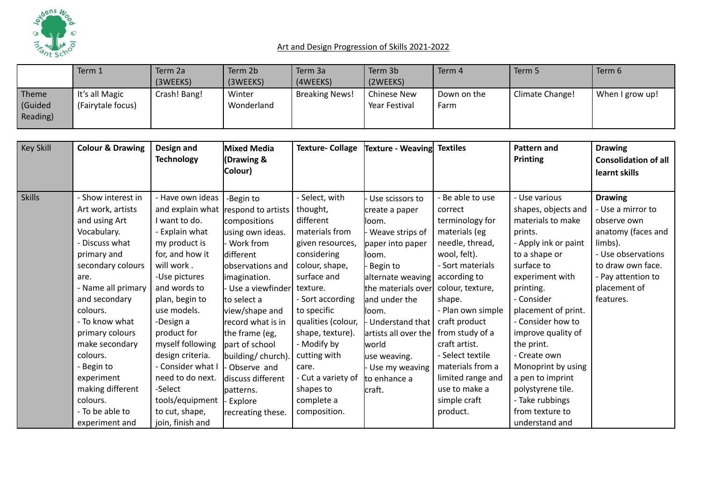

|                             | Term 1                              | Term 2a      | Term 2b              | Term 3a               | Term 3b                             | Term 4              | Term 5          | Term 6          |
|-----------------------------|-------------------------------------|--------------|----------------------|-----------------------|-------------------------------------|---------------------|-----------------|-----------------|
|                             |                                     | (3WEEKS)     | (3WEEKS)             | (4WEEKS)              | (2WEEKS)                            |                     |                 |                 |
| Theme<br>Guided<br>Reading) | It's all Magic<br>(Fairytale focus) | Crash! Bang! | Winter<br>Wonderland | <b>Breaking News!</b> | <b>Chinese New</b><br>Year Festival | Down on the<br>Farm | Climate Change! | When I grow up! |

| <b>Key Skill</b> | <b>Colour &amp; Drawing</b> | Design and        | Mixed Media        | <b>Texture-Collage</b> | Texture - Weaving    | <b>Textiles</b>   | <b>Pattern and</b>   | <b>Drawing</b>              |
|------------------|-----------------------------|-------------------|--------------------|------------------------|----------------------|-------------------|----------------------|-----------------------------|
|                  |                             | <b>Technology</b> | (Drawing &         |                        |                      |                   | <b>Printing</b>      | <b>Consolidation of all</b> |
|                  |                             |                   | Colour)            |                        |                      |                   |                      | learnt skills               |
|                  |                             |                   |                    |                        |                      |                   |                      |                             |
| <b>Skills</b>    | - Show interest in          | - Have own ideas  | -Begin to          | - Select, with         | Use scissors to      | - Be able to use  | - Use various        | <b>Drawing</b>              |
|                  | Art work, artists           | and explain what  | respond to artists | thought,               | create a paper       | correct           | shapes, objects and  | - Use a mirror to           |
|                  | and using Art               | I want to do.     | compositions       | different              | lloom.               | terminology for   | materials to make    | observe own                 |
|                  | Vocabulary.                 | - Explain what    | using own ideas.   | materials from         | Weave strips of      | materials (eg     | prints.              | anatomy (faces and          |
|                  | - Discuss what              | my product is     | Work from          | given resources,       | paper into paper     | needle, thread,   | - Apply ink or paint | limbs).                     |
|                  | primary and                 | for, and how it   | different          | considering            | lloom.               | wool, felt).      | to a shape or        | - Use observations          |
|                  | secondary colours           | will work.        | lobservations and  | colour, shape,         | Begin to             | - Sort materials  | surface to           | to draw own face.           |
|                  | are.                        | -Use pictures     | imagination.       | surface and            | alternate weaving    | according to      | experiment with      | - Pay attention to          |
|                  | - Name all primary          | and words to      | Use a viewfinder   | texture.               | the materials over   | colour, texture,  | printing.            | placement of                |
|                  | and secondary               | plan, begin to    | to select a        | - Sort according       | land under the       | shape.            | - Consider           | features.                   |
|                  | colours.                    | use models.       | view/shape and     | to specific            | lloom.               | - Plan own simple | placement of print.  |                             |
|                  | - To know what              | -Design a         | record what is in  | qualities (colour,     | Understand that      | craft product     | - Consider how to    |                             |
|                  | primary colours             | product for       | the frame (eg,     | shape, texture).       | artists all over the | from study of a   | improve quality of   |                             |
|                  | make secondary              | myself following  | part of school     | - Modify by            | world                | craft artist.     | the print.           |                             |
|                  | colours.                    | design criteria.  | building/church).  | cutting with           | use weaving.         | - Select textile  | - Create own         |                             |
|                  | - Begin to                  | - Consider what I | Observe and        | care.                  | Use my weaving       | materials from a  | Monoprint by using   |                             |
|                  | experiment                  | need to do next.  | discuss different  | - Cut a variety of     | to enhance a         | limited range and | a pen to imprint     |                             |
|                  | making different            | -Select           | patterns.          | shapes to              | craft.               | use to make a     | polystyrene tile.    |                             |
|                  | colours.                    | tools/equipment   | Explore            | complete a             |                      | simple craft      | - Take rubbings      |                             |
|                  | - To be able to             | to cut, shape,    | recreating these.  | composition.           |                      | product.          | from texture to      |                             |
|                  | experiment and              | join, finish and  |                    |                        |                      |                   | understand and       |                             |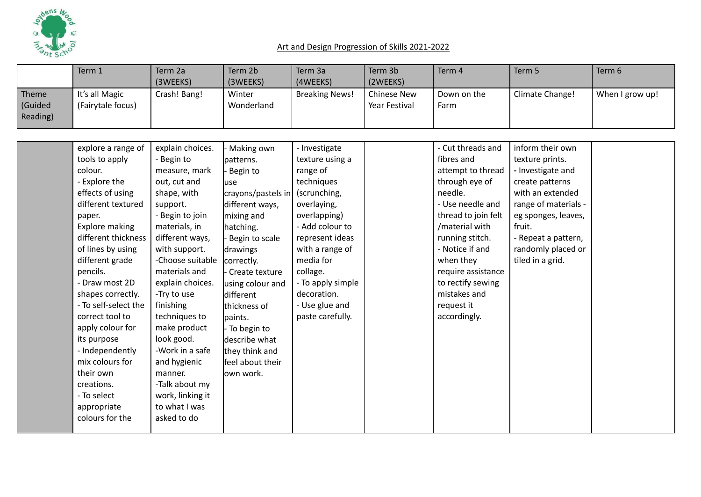

creations. - To select appropriate colours for the -Talk about my work, linking it to what I was asked to do

|                              | Term 1                                                                                                                                                                                                                                                                                                                                                                       | Term 2a<br>(3WEEKS)                                                                                                                                                                                                                                                                                                                     | Term 2b<br>(3WEEKS)                                                                                                                                                                                                                                                                                               | Term 3a<br>(4WEEKS)                                                                                                                                                                                                                                                   | Term 3b<br>(2WEEKS)                 | Term 4                                                                                                                                                                                                                                                                                     | Term 5                                                                                                                                                                                                                    | Term 6          |
|------------------------------|------------------------------------------------------------------------------------------------------------------------------------------------------------------------------------------------------------------------------------------------------------------------------------------------------------------------------------------------------------------------------|-----------------------------------------------------------------------------------------------------------------------------------------------------------------------------------------------------------------------------------------------------------------------------------------------------------------------------------------|-------------------------------------------------------------------------------------------------------------------------------------------------------------------------------------------------------------------------------------------------------------------------------------------------------------------|-----------------------------------------------------------------------------------------------------------------------------------------------------------------------------------------------------------------------------------------------------------------------|-------------------------------------|--------------------------------------------------------------------------------------------------------------------------------------------------------------------------------------------------------------------------------------------------------------------------------------------|---------------------------------------------------------------------------------------------------------------------------------------------------------------------------------------------------------------------------|-----------------|
| Theme<br>(Guided<br>Reading) | It's all Magic<br>(Fairytale focus)                                                                                                                                                                                                                                                                                                                                          | Crash! Bang!                                                                                                                                                                                                                                                                                                                            | Winter<br>Wonderland                                                                                                                                                                                                                                                                                              | <b>Breaking News!</b>                                                                                                                                                                                                                                                 | <b>Chinese New</b><br>Year Festival | Down on the<br>Farm                                                                                                                                                                                                                                                                        | Climate Change!                                                                                                                                                                                                           | When I grow up! |
|                              |                                                                                                                                                                                                                                                                                                                                                                              |                                                                                                                                                                                                                                                                                                                                         |                                                                                                                                                                                                                                                                                                                   |                                                                                                                                                                                                                                                                       |                                     |                                                                                                                                                                                                                                                                                            |                                                                                                                                                                                                                           |                 |
|                              | explore a range of<br>tools to apply<br>colour.<br>- Explore the<br>effects of using<br>different textured<br>paper.<br>Explore making<br>different thickness<br>of lines by using<br>different grade<br>pencils.<br>- Draw most 2D<br>shapes correctly.<br>- To self-select the<br>correct tool to<br>apply colour for<br>its purpose<br>- Independently<br>mix colours for | explain choices.<br>Begin to<br>measure, mark<br>out, cut and<br>shape, with<br>support.<br>- Begin to join<br>materials, in<br>different ways,<br>with support.<br>-Choose suitable<br>materials and<br>explain choices.<br>-Try to use<br>finishing<br>techniques to<br>make product<br>look good.<br>-Work in a safe<br>and hygienic | Making own<br>patterns.<br>Begin to<br>luse<br>crayons/pastels in<br>different ways,<br>mixing and<br>hatching.<br>Begin to scale<br>drawings<br>correctly.<br>Create texture<br>using colour and<br>different<br>thickness of<br>paints.<br>- To begin to<br>describe what<br>they think and<br>feel about their | - Investigate<br>texture using a<br>range of<br>techniques<br>(scrunching,<br>overlaying,<br>overlapping)<br>- Add colour to<br>represent ideas<br>with a range of<br>media for<br>collage.<br>- To apply simple<br>decoration.<br>- Use glue and<br>paste carefully. |                                     | - Cut threads and<br>fibres and<br>attempt to thread<br>through eye of<br>needle.<br>- Use needle and<br>thread to join felt<br>/material with<br>running stitch.<br>- Notice if and<br>when they<br>require assistance<br>to rectify sewing<br>mistakes and<br>request it<br>accordingly. | inform their own<br>texture prints.<br>- Investigate and<br>create patterns<br>with an extended<br>range of materials -<br>eg sponges, leaves,<br>fruit.<br>- Repeat a pattern,<br>randomly placed or<br>tiled in a grid. |                 |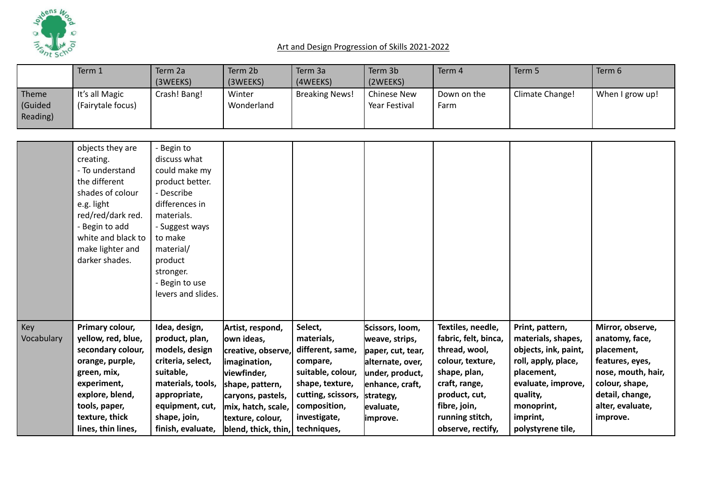

|                              | Term 1                                                                                                                                                                                                 | Term 2a<br>(3WEEKS)                                                                                                                                                                                                | Term 2b<br>(3WEEKS)                                                                                                                                                                                        | Term 3a<br>(4WEEKS)                                                                                                                                 | Term 3b<br>(2WEEKS)                                                                                                                                     | Term 4                                                                                                                                                                                   | Term 5                                                                                                                                                                              | Term 6                                                                                                                                                         |
|------------------------------|--------------------------------------------------------------------------------------------------------------------------------------------------------------------------------------------------------|--------------------------------------------------------------------------------------------------------------------------------------------------------------------------------------------------------------------|------------------------------------------------------------------------------------------------------------------------------------------------------------------------------------------------------------|-----------------------------------------------------------------------------------------------------------------------------------------------------|---------------------------------------------------------------------------------------------------------------------------------------------------------|------------------------------------------------------------------------------------------------------------------------------------------------------------------------------------------|-------------------------------------------------------------------------------------------------------------------------------------------------------------------------------------|----------------------------------------------------------------------------------------------------------------------------------------------------------------|
| Theme<br>(Guided<br>Reading) | It's all Magic<br>(Fairytale focus)                                                                                                                                                                    | Crash! Bang!                                                                                                                                                                                                       | Winter<br>Wonderland                                                                                                                                                                                       | <b>Breaking News!</b>                                                                                                                               | <b>Chinese New</b><br>Year Festival                                                                                                                     | Down on the<br>Farm                                                                                                                                                                      | Climate Change!                                                                                                                                                                     | When I grow up!                                                                                                                                                |
|                              | objects they are<br>creating.<br>- To understand<br>the different<br>shades of colour<br>e.g. light<br>red/red/dark red.<br>- Begin to add<br>white and black to<br>make lighter and<br>darker shades. | Begin to<br>discuss what<br>could make my<br>product better.<br>- Describe<br>differences in<br>materials.<br>- Suggest ways<br>to make<br>material/<br>product<br>stronger.<br>Begin to use<br>levers and slides. |                                                                                                                                                                                                            |                                                                                                                                                     |                                                                                                                                                         |                                                                                                                                                                                          |                                                                                                                                                                                     |                                                                                                                                                                |
| Key<br>Vocabulary            | Primary colour,<br>yellow, red, blue,<br>secondary colour,<br>orange, purple,<br>green, mix,<br>experiment,<br>explore, blend,<br>tools, paper,<br>texture, thick<br>lines, thin lines,                | Idea, design,<br>product, plan,<br>models, design<br>criteria, select,<br>suitable,<br>materials, tools,<br>appropriate,<br>equipment, cut,<br>shape, join,<br>finish, evaluate,                                   | Artist, respond,<br>own ideas,<br>creative, observe,<br>imagination,<br>viewfinder,<br>shape, pattern,<br>caryons, pastels,<br>mix, hatch, scale,<br>texture, colour,<br>blend, thick, thin,   techniques, | Select,<br>materials,<br>different, same,<br>compare,<br>suitable, colour,<br>shape, texture,<br>cutting, scissors,<br>composition,<br>investigate, | Scissors, loom,<br>weave, strips,<br>paper, cut, tear,<br>alternate, over,<br>under, product,<br>enhance, craft,<br>strategy,<br>evaluate,<br>limprove. | Textiles, needle,<br>fabric, felt, binca,<br>thread, wool,<br>colour, texture,<br>shape, plan,<br>craft, range,<br>product, cut,<br>fibre, join,<br>running stitch,<br>observe, rectify, | Print, pattern,<br>materials, shapes,<br>objects, ink, paint,<br>roll, apply, place,<br>placement,<br>evaluate, improve,<br>quality,<br>monoprint,<br>imprint,<br>polystyrene tile, | Mirror, observe,<br>anatomy, face,<br>placement,<br>features, eyes,<br>nose, mouth, hair,<br>colour, shape,<br>detail, change,<br>alter, evaluate,<br>improve. |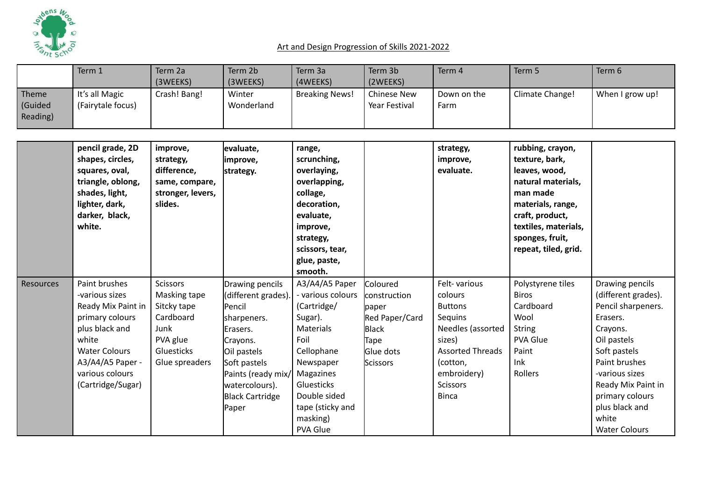

|                              | Term 1                                                                                                                                                                                  | Term 2a                                                                                                         | Term 2b                                                                                                                                                                                           | Term 3a                                                                                                                                                                                                     | Term 3b                                                                                              | Term 4                                                                                                                                                                       | Term 5                                                                                                                                                                                           | Term 6                                                                                                                                                                                                                                             |
|------------------------------|-----------------------------------------------------------------------------------------------------------------------------------------------------------------------------------------|-----------------------------------------------------------------------------------------------------------------|---------------------------------------------------------------------------------------------------------------------------------------------------------------------------------------------------|-------------------------------------------------------------------------------------------------------------------------------------------------------------------------------------------------------------|------------------------------------------------------------------------------------------------------|------------------------------------------------------------------------------------------------------------------------------------------------------------------------------|--------------------------------------------------------------------------------------------------------------------------------------------------------------------------------------------------|----------------------------------------------------------------------------------------------------------------------------------------------------------------------------------------------------------------------------------------------------|
| Theme<br>(Guided<br>Reading) | It's all Magic<br>(Fairytale focus)                                                                                                                                                     | (3WEEKS)<br>Crash! Bang!                                                                                        | (3WEEKS)<br>Winter<br>Wonderland                                                                                                                                                                  | (4WEEKS)<br><b>Breaking News!</b>                                                                                                                                                                           | (2WEEKS)<br><b>Chinese New</b><br>Year Festival                                                      | Down on the<br>Farm                                                                                                                                                          | Climate Change!                                                                                                                                                                                  | When I grow up!                                                                                                                                                                                                                                    |
|                              |                                                                                                                                                                                         |                                                                                                                 |                                                                                                                                                                                                   |                                                                                                                                                                                                             |                                                                                                      |                                                                                                                                                                              |                                                                                                                                                                                                  |                                                                                                                                                                                                                                                    |
|                              | pencil grade, 2D<br>shapes, circles,<br>squares, oval,<br>triangle, oblong,<br>shades, light,<br>lighter, dark,<br>darker, black,<br>white.                                             | improve,<br>strategy,<br>difference,<br>same, compare,<br>stronger, levers,<br>slides.                          | evaluate,<br>improve,<br>strategy.                                                                                                                                                                | range,<br>scrunching,<br>overlaying,<br>overlapping,<br>collage,<br>decoration,<br>evaluate,<br>improve,<br>strategy,<br>scissors, tear,<br>glue, paste,<br>smooth.                                         |                                                                                                      | strategy,<br>improve,<br>evaluate.                                                                                                                                           | rubbing, crayon,<br>texture, bark,<br>leaves, wood,<br>natural materials,<br>man made<br>materials, range,<br>craft, product,<br>textiles, materials,<br>sponges, fruit,<br>repeat, tiled, grid. |                                                                                                                                                                                                                                                    |
| <b>Resources</b>             | Paint brushes<br>-various sizes<br>Ready Mix Paint in<br>primary colours<br>plus black and<br>white<br><b>Water Colours</b><br>A3/A4/A5 Paper -<br>various colours<br>(Cartridge/Sugar) | <b>Scissors</b><br>Masking tape<br>Sitcky tape<br>Cardboard<br>Junk<br>PVA glue<br>Gluesticks<br>Glue spreaders | Drawing pencils<br>(different grades).<br>Pencil<br>sharpeners.<br>Erasers.<br>Crayons.<br>Oil pastels<br>Soft pastels<br>Paints (ready mix/<br>watercolours).<br><b>Black Cartridge</b><br>Paper | A3/A4/A5 Paper<br>- various colours<br>(Cartridge/<br>Sugar).<br><b>Materials</b><br>Foil<br>Cellophane<br>Newspaper<br>Magazines<br>Gluesticks<br>Double sided<br>tape (sticky and<br>masking)<br>PVA Glue | Coloured<br>construction<br>paper<br>Red Paper/Card<br><b>Black</b><br>Tape<br>Glue dots<br>Scissors | Felt-various<br>colours<br><b>Buttons</b><br>Sequins<br>Needles (assorted<br>sizes)<br><b>Assorted Threads</b><br>(cotton,<br>embroidery)<br><b>Scissors</b><br><b>Binca</b> | Polystyrene tiles<br><b>Biros</b><br>Cardboard<br>Wool<br><b>String</b><br>PVA Glue<br>Paint<br>Ink<br>Rollers                                                                                   | Drawing pencils<br>(different grades).<br>Pencil sharpeners.<br>Erasers.<br>Crayons.<br>Oil pastels<br>Soft pastels<br>Paint brushes<br>-various sizes<br>Ready Mix Paint in<br>primary colours<br>plus black and<br>white<br><b>Water Colours</b> |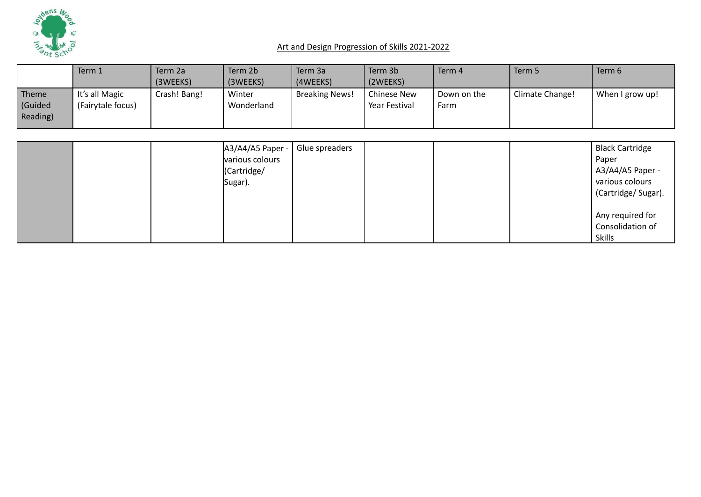

|                             | Term 1                              | Term 2a      | Term 2b              | Term 3a               | Term 3b                      | Term 4              | Term 5          | Term 6          |
|-----------------------------|-------------------------------------|--------------|----------------------|-----------------------|------------------------------|---------------------|-----------------|-----------------|
|                             |                                     | (3WEEKS)     | (3WEEKS)             | (4WEEKS)              | (2WEEKS)                     |                     |                 |                 |
| Theme<br>Guided<br>Reading) | It's all Magic<br>(Fairytale focus) | Crash! Bang! | Winter<br>Wonderland | <b>Breaking News!</b> | Chinese New<br>Year Festival | Down on the<br>Farm | Climate Change! | When I grow up! |

|  | A3/A4/A5 Paper - | Glue spreaders |  | <b>Black Cartridge</b> |
|--|------------------|----------------|--|------------------------|
|  | various colours  |                |  | Paper                  |
|  | (Cartridge/      |                |  | A3/A4/A5 Paper -       |
|  | Sugar).          |                |  | various colours        |
|  |                  |                |  | (Cartridge/Sugar).     |
|  |                  |                |  |                        |
|  |                  |                |  | Any required for       |
|  |                  |                |  | Consolidation of       |
|  |                  |                |  | <b>Skills</b>          |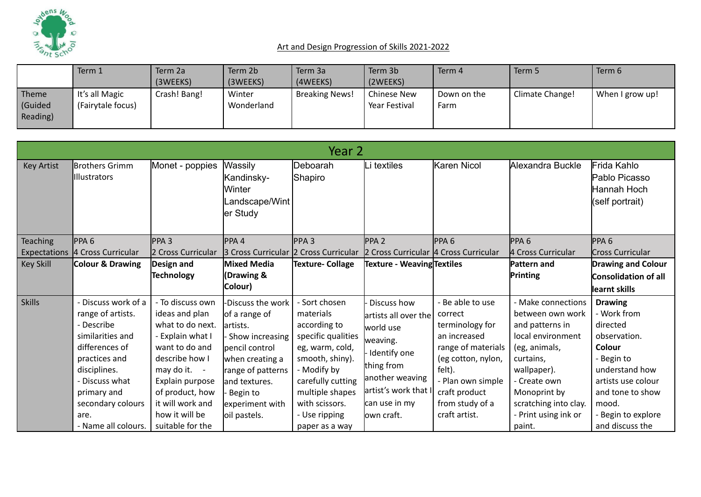

|                             | Term 1                              | Term 2a      | Term 2b              | Term 3a               | Term 3b                      | Term 4              | Term 5          | Term 6          |
|-----------------------------|-------------------------------------|--------------|----------------------|-----------------------|------------------------------|---------------------|-----------------|-----------------|
|                             |                                     | (3WEEKS)     | (3WEEKS)             | (4WEEKS)              | (2WEEKS)                     |                     |                 |                 |
| Theme<br>Guided<br>Reading) | It's all Magic<br>(Fairytale focus) | Crash! Bang! | Winter<br>Wonderland | <b>Breaking News!</b> | Chinese New<br>Year Festival | Down on the<br>Farm | Climate Change! | When I grow up! |

|                     |                                                                                                                                                                                                                  |                                                                                                                                                                                                                                |                                                                                                                                                                                               | Year 2                                                                                                                                                                                                             |                                                                                                                                                                       |                                                                                                                                                                                                |                                                                                                                                                                                                                      |                                                                                                                                                                                               |
|---------------------|------------------------------------------------------------------------------------------------------------------------------------------------------------------------------------------------------------------|--------------------------------------------------------------------------------------------------------------------------------------------------------------------------------------------------------------------------------|-----------------------------------------------------------------------------------------------------------------------------------------------------------------------------------------------|--------------------------------------------------------------------------------------------------------------------------------------------------------------------------------------------------------------------|-----------------------------------------------------------------------------------------------------------------------------------------------------------------------|------------------------------------------------------------------------------------------------------------------------------------------------------------------------------------------------|----------------------------------------------------------------------------------------------------------------------------------------------------------------------------------------------------------------------|-----------------------------------------------------------------------------------------------------------------------------------------------------------------------------------------------|
| <b>Key Artist</b>   | Brothers Grimm<br><b>Illustrators</b>                                                                                                                                                                            | Monet - poppies                                                                                                                                                                                                                | Wassily<br>Kandinsky-<br>lWinter<br>Landscape/Wint<br>er Study                                                                                                                                | Deboarah<br>Shapiro                                                                                                                                                                                                | Li textiles                                                                                                                                                           | Karen Nicol                                                                                                                                                                                    | Alexandra Buckle                                                                                                                                                                                                     | Frida Kahlo<br>Pablo Picasso<br>Hannah Hoch<br>(self portrait)                                                                                                                                |
| <b>Teaching</b>     | PPA <sub>6</sub>                                                                                                                                                                                                 | $PPA$ 3                                                                                                                                                                                                                        | PPA4                                                                                                                                                                                          | PPA3                                                                                                                                                                                                               | PPA <sub>2</sub>                                                                                                                                                      | PPA <sub>6</sub>                                                                                                                                                                               | PPA 6                                                                                                                                                                                                                | PPA <sub>6</sub>                                                                                                                                                                              |
| <b>Expectations</b> | 4 Cross Curricular                                                                                                                                                                                               | 2 Cross Curricular                                                                                                                                                                                                             | 3 Cross Curricular 2 Cross Curricular                                                                                                                                                         |                                                                                                                                                                                                                    | 2 Cross Curricular 4 Cross Curricular                                                                                                                                 |                                                                                                                                                                                                | 4 Cross Curricular                                                                                                                                                                                                   | Cross Curricular                                                                                                                                                                              |
| <b>Key Skill</b>    | Colour & Drawing                                                                                                                                                                                                 | Design and                                                                                                                                                                                                                     | Mixed Media                                                                                                                                                                                   | Texture- Collage                                                                                                                                                                                                   | Texture - Weaving Textiles                                                                                                                                            |                                                                                                                                                                                                | <b>Pattern and</b>                                                                                                                                                                                                   | <b>Drawing and Colour</b>                                                                                                                                                                     |
|                     |                                                                                                                                                                                                                  | <b>Technology</b>                                                                                                                                                                                                              | (Drawing &                                                                                                                                                                                    |                                                                                                                                                                                                                    |                                                                                                                                                                       |                                                                                                                                                                                                | Printing                                                                                                                                                                                                             | Consolidation of all                                                                                                                                                                          |
|                     |                                                                                                                                                                                                                  |                                                                                                                                                                                                                                | Colour)                                                                                                                                                                                       |                                                                                                                                                                                                                    |                                                                                                                                                                       |                                                                                                                                                                                                |                                                                                                                                                                                                                      | learnt skills                                                                                                                                                                                 |
| Skills              | Discuss work of a<br>range of artists.<br>- Describe<br>similarities and<br>differences of<br>practices and<br>disciplines.<br>- Discuss what<br>primary and<br>secondary colours<br>are.<br>- Name all colours. | - To discuss own<br>ideas and plan<br>what to do next.<br>- Explain what I<br>want to do and<br>describe how I<br>may do it. -<br>Explain purpose<br>of product, how<br>it will work and<br>how it will be<br>suitable for the | -Discuss the work<br>of a range of<br>lartists.<br>Show increasing<br>pencil control<br>when creating a<br>range of patterns<br>land textures.<br>Begin to<br>experiment with<br>oil pastels. | - Sort chosen<br>materials<br>according to<br>specific qualities<br>eg, warm, cold,<br>smooth, shiny).<br>- Modify by<br>carefully cutting<br>multiple shapes<br>with scissors.<br>- Use ripping<br>paper as a way | Discuss how<br>artists all over the<br>world use<br>weaving.<br>Identify one<br>thing from<br>another weaving<br>artist's work that I<br>can use in my<br>lown craft. | - Be able to use<br>correct<br>terminology for<br>an increased<br>range of materials<br>(eg cotton, nylon,<br>felt).<br>- Plan own simple<br>craft product<br>from study of a<br>craft artist. | - Make connections<br>between own work<br>and patterns in<br>local environment<br>(eg, animals,<br>curtains,<br>wallpaper).<br>- Create own<br>Monoprint by<br>scratching into clay.<br>Print using ink or<br>paint. | <b>Drawing</b><br>- Work from<br>directed<br>observation.<br>Colour<br>- Begin to<br>understand how<br>artists use colour<br>and tone to show<br>mood.<br>Begin to explore<br>and discuss the |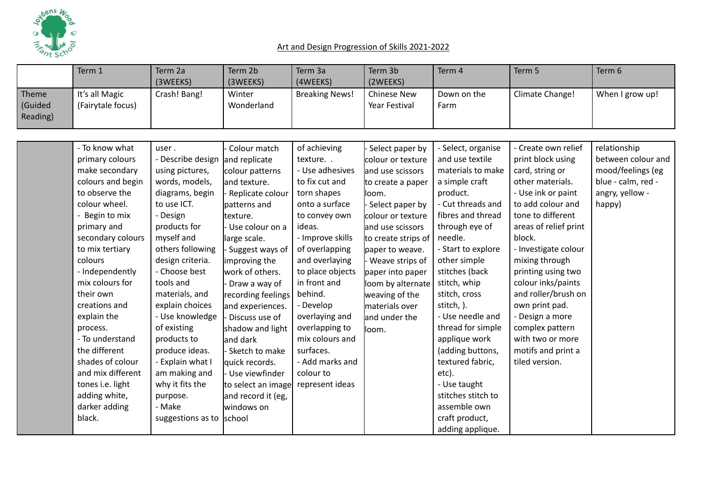

|                              | Term 1                              | Term 2a<br>(3WEEKS)        | Term 2b<br>(3WEEKS)           | Term 3a<br>(4WEEKS)     | Term 3b<br>(2WEEKS)                  | Term 4                                | Term 5                                   | Term 6                             |
|------------------------------|-------------------------------------|----------------------------|-------------------------------|-------------------------|--------------------------------------|---------------------------------------|------------------------------------------|------------------------------------|
| Theme<br>(Guided<br>Reading) | It's all Magic<br>(Fairytale focus) | Crash! Bang!               | Winter<br>Wonderland          | <b>Breaking News!</b>   | <b>Chinese New</b><br>Year Festival  | Down on the<br>Farm                   | Climate Change!                          | When I grow up!                    |
|                              |                                     |                            |                               |                         |                                      |                                       |                                          |                                    |
|                              | - To know what<br>primary colours   | user.<br>- Describe design | Colour match<br>and replicate | of achieving<br>texture | Select paper by<br>colour or texture | - Select, organise<br>and use textile | - Create own relief<br>print block using | relationship<br>between colour and |
|                              | make secondary                      | using pictures,            | colour patterns               | - Use adhesives         | and use scissors                     | materials to make                     | card, string or                          | mood/feelings (eg                  |
|                              | colours and begin                   | words, models,             | and texture.                  | to fix cut and          | to create a paper                    | a simple craft                        | other materials.                         | blue - calm, red -                 |
|                              | to observe the                      | diagrams, begin            | Replicate colour              | torn shapes             | lloom.                               | product.                              | - Use ink or paint                       | angry, yellow -                    |
|                              | colour wheel.                       | to use ICT.                | patterns and                  | onto a surface          | Select paper by                      | - Cut threads and                     | to add colour and                        | happy)                             |
|                              | - Begin to mix                      | - Design                   | texture.                      | to convey own           | colour or texture                    | fibres and thread                     | tone to different                        |                                    |
|                              | primary and                         | products for               | Use colour on a               | ideas.                  | and use scissors                     | through eye of                        | areas of relief print                    |                                    |
|                              | secondary colours                   | myself and                 | large scale.                  | - Improve skills        | to create strips of                  | needle.                               | block.                                   |                                    |
|                              | to mix tertiary                     | others following           | Suggest ways of               | of overlapping          | paper to weave.                      | - Start to explore                    | - Investigate colour                     |                                    |
|                              | colours                             | design criteria.           | improving the                 | and overlaying          | Weave strips of                      | other simple                          | mixing through                           |                                    |
|                              | - Independently                     | - Choose best              | work of others.               | to place objects        | paper into paper                     | stitches (back                        | printing using two                       |                                    |
|                              | mix colours for                     | tools and                  | Draw a way of                 | in front and            | loom by alternate                    | stitch, whip                          | colour inks/paints                       |                                    |
|                              | their own                           | materials, and             | recording feelings            | behind.                 | weaving of the                       | stitch, cross                         | and roller/brush on                      |                                    |
|                              | creations and                       | explain choices            | and experiences.              | - Develop               | materials over                       | stitch, ).                            | own print pad.                           |                                    |
|                              | explain the                         | - Use knowledge            | Discuss use of                | overlaying and          | and under the                        | - Use needle and                      | - Design a more                          |                                    |
|                              | process.                            | of existing                | shadow and light              | overlapping to          | loom.                                | thread for simple                     | complex pattern                          |                                    |
|                              | - To understand                     | products to                | and dark                      | mix colours and         |                                      | applique work                         | with two or more                         |                                    |
|                              | the different                       | produce ideas.             | Sketch to make                | surfaces.               |                                      | (adding buttons,                      | motifs and print a                       |                                    |
|                              | shades of colour                    | - Explain what I           | quick records.                | - Add marks and         |                                      | textured fabric,                      | tiled version.                           |                                    |
|                              | and mix different                   | am making and              | Use viewfinder                | colour to               |                                      | etc).                                 |                                          |                                    |
|                              | tones i.e. light                    | why it fits the            | to select an image            | represent ideas         |                                      | - Use taught                          |                                          |                                    |
|                              | adding white,                       | purpose.                   | and record it (eg,            |                         |                                      | stitches stitch to                    |                                          |                                    |
|                              | darker adding                       | - Make                     | windows on                    |                         |                                      | assemble own                          |                                          |                                    |
|                              | black.                              | suggestions as to          | school                        |                         |                                      | craft product,                        |                                          |                                    |
|                              |                                     |                            |                               |                         |                                      | adding applique.                      |                                          |                                    |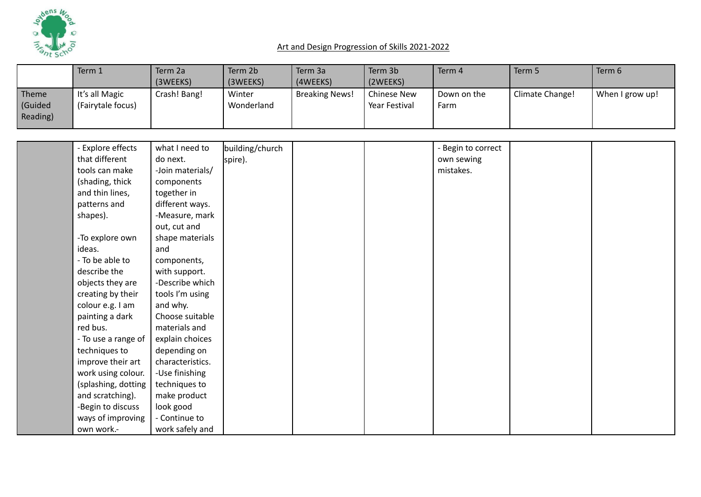

|                             | Term 1                              | Term 2a<br>(3WEEKS) | Term 2b<br>(3WEEKS)  | Term 3a<br>(4WEEKS)   | Term 3b<br>(2WEEKS)                 | Term 4              | Term 5          | Term 6          |
|-----------------------------|-------------------------------------|---------------------|----------------------|-----------------------|-------------------------------------|---------------------|-----------------|-----------------|
| Theme<br>Guided<br>Reading) | It's all Magic<br>(Fairytale focus) | Crash! Bang!        | Winter<br>Wonderland | <b>Breaking News!</b> | <b>Chinese New</b><br>Year Festival | Down on the<br>Farm | Climate Change! | When I grow up! |

| - Explore effects   | what I need to   | building/church |  | - Begin to correct |  |
|---------------------|------------------|-----------------|--|--------------------|--|
| that different      | do next.         | spire).         |  | own sewing         |  |
| tools can make      | -Join materials/ |                 |  | mistakes.          |  |
| (shading, thick     | components       |                 |  |                    |  |
| and thin lines,     | together in      |                 |  |                    |  |
| patterns and        | different ways.  |                 |  |                    |  |
| shapes).            | -Measure, mark   |                 |  |                    |  |
|                     | out, cut and     |                 |  |                    |  |
| -To explore own     | shape materials  |                 |  |                    |  |
| ideas.              | and              |                 |  |                    |  |
| - To be able to     | components,      |                 |  |                    |  |
| describe the        | with support.    |                 |  |                    |  |
| objects they are    | -Describe which  |                 |  |                    |  |
| creating by their   | tools I'm using  |                 |  |                    |  |
| colour e.g. I am    | and why.         |                 |  |                    |  |
| painting a dark     | Choose suitable  |                 |  |                    |  |
| red bus.            | materials and    |                 |  |                    |  |
| - To use a range of | explain choices  |                 |  |                    |  |
| techniques to       | depending on     |                 |  |                    |  |
| improve their art   | characteristics. |                 |  |                    |  |
| work using colour.  | -Use finishing   |                 |  |                    |  |
| (splashing, dotting | techniques to    |                 |  |                    |  |
| and scratching).    | make product     |                 |  |                    |  |
| -Begin to discuss   | look good        |                 |  |                    |  |
| ways of improving   | - Continue to    |                 |  |                    |  |
| own work.-          | work safely and  |                 |  |                    |  |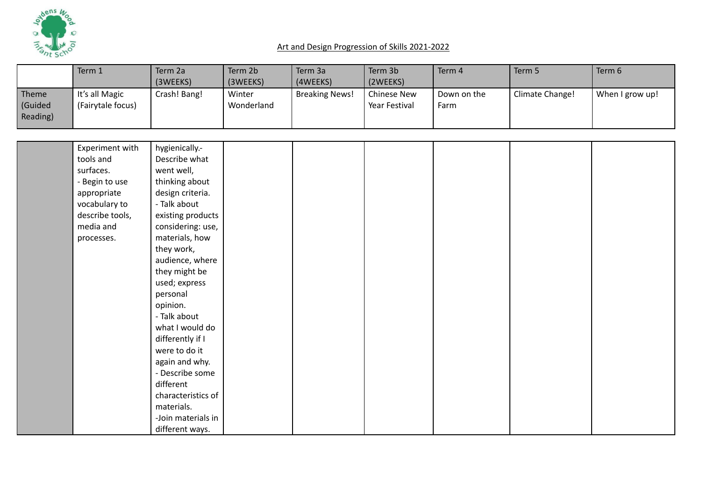

|                                     | Term 1                              | Term 2a<br>(3WEEKS) | Term 2b<br>(3WEEKS)  | Term 3a<br>(4WEEKS)   | Term 3b<br>(2WEEKS)          | Term 4              | Term 5          | Term 6          |
|-------------------------------------|-------------------------------------|---------------------|----------------------|-----------------------|------------------------------|---------------------|-----------------|-----------------|
| <b>Theme</b><br>(Guided<br>Reading) | It's all Magic<br>(Fairytale focus) | Crash! Bang!        | Winter<br>Wonderland | <b>Breaking News!</b> | Chinese New<br>Year Festival | Down on the<br>Farm | Climate Change! | When I grow up! |

| Experiment with | hygienically .-    |  |  |  |
|-----------------|--------------------|--|--|--|
| tools and       | Describe what      |  |  |  |
| surfaces.       | went well,         |  |  |  |
| - Begin to use  | thinking about     |  |  |  |
| appropriate     | design criteria.   |  |  |  |
| vocabulary to   | - Talk about       |  |  |  |
| describe tools, | existing products  |  |  |  |
| media and       | considering: use,  |  |  |  |
| processes.      | materials, how     |  |  |  |
|                 | they work,         |  |  |  |
|                 | audience, where    |  |  |  |
|                 | they might be      |  |  |  |
|                 | used; express      |  |  |  |
|                 | personal           |  |  |  |
|                 | opinion.           |  |  |  |
|                 | - Talk about       |  |  |  |
|                 | what I would do    |  |  |  |
|                 | differently if I   |  |  |  |
|                 | were to do it      |  |  |  |
|                 | again and why.     |  |  |  |
|                 | - Describe some    |  |  |  |
|                 | different          |  |  |  |
|                 | characteristics of |  |  |  |
|                 | materials.         |  |  |  |
|                 | -Join materials in |  |  |  |
|                 | different ways.    |  |  |  |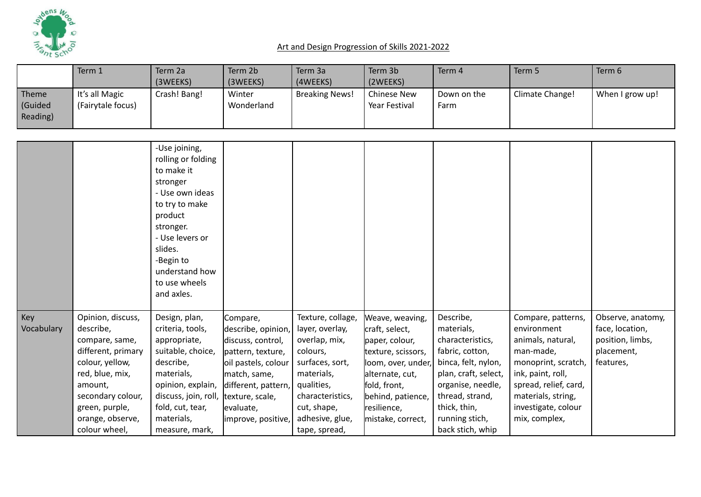

|                              | Term 1                                                                                                                                                                                              | Term 2a<br>(3WEEKS)                                                                                                                                                                                                    | Term 2b<br>(3WEEKS)                                                                                                                                                                          | Term 3a<br>(4WEEKS)                                                                                                                                                                     | Term 3b<br>(2WEEKS)                                                                                                                                                                         | Term 4                                                                                                                                                                                                      | Term 5                                                                                                                                                                                                 | Term 6                                                                              |
|------------------------------|-----------------------------------------------------------------------------------------------------------------------------------------------------------------------------------------------------|------------------------------------------------------------------------------------------------------------------------------------------------------------------------------------------------------------------------|----------------------------------------------------------------------------------------------------------------------------------------------------------------------------------------------|-----------------------------------------------------------------------------------------------------------------------------------------------------------------------------------------|---------------------------------------------------------------------------------------------------------------------------------------------------------------------------------------------|-------------------------------------------------------------------------------------------------------------------------------------------------------------------------------------------------------------|--------------------------------------------------------------------------------------------------------------------------------------------------------------------------------------------------------|-------------------------------------------------------------------------------------|
| Theme<br>(Guided<br>Reading) | It's all Magic<br>(Fairytale focus)                                                                                                                                                                 | Crash! Bang!                                                                                                                                                                                                           | Winter<br>Wonderland                                                                                                                                                                         | <b>Breaking News!</b>                                                                                                                                                                   | <b>Chinese New</b><br>Year Festival                                                                                                                                                         | Down on the<br>Farm                                                                                                                                                                                         | Climate Change!                                                                                                                                                                                        | When I grow up!                                                                     |
|                              |                                                                                                                                                                                                     | -Use joining,<br>rolling or folding<br>to make it<br>stronger<br>- Use own ideas<br>to try to make<br>product<br>stronger.<br>- Use levers or<br>slides.<br>-Begin to<br>understand how<br>to use wheels<br>and axles. |                                                                                                                                                                                              |                                                                                                                                                                                         |                                                                                                                                                                                             |                                                                                                                                                                                                             |                                                                                                                                                                                                        |                                                                                     |
| Key<br>Vocabulary            | Opinion, discuss,<br>describe,<br>compare, same,<br>different, primary<br>colour, yellow,<br>red, blue, mix,<br>amount,<br>secondary colour,<br>green, purple,<br>orange, observe,<br>colour wheel, | Design, plan,<br>criteria, tools,<br>appropriate,<br>suitable, choice,<br>describe,<br>materials,<br>opinion, explain,<br>discuss, join, roll,<br>fold, cut, tear,<br>materials,<br>measure, mark,                     | Compare,<br>describe, opinion,<br>discuss, control,<br>pattern, texture,<br>oil pastels, colour<br>match, same,<br>different, pattern,<br>texture, scale,<br>evaluate,<br>improve, positive, | Texture, collage,<br>layer, overlay,<br>overlap, mix,<br>colours,<br>surfaces, sort,<br>materials,<br>qualities,<br>characteristics,<br>cut, shape,<br>adhesive, glue,<br>tape, spread, | Weave, weaving,<br>craft, select,<br>paper, colour,<br>texture, scissors,<br>loom, over, under,<br>alternate, cut,<br>fold, front,<br>behind, patience,<br>resilience,<br>mistake, correct, | Describe,<br>materials,<br>characteristics,<br>fabric, cotton,<br>binca, felt, nylon,<br>plan, craft, select,<br>organise, needle,<br>thread, strand,<br>thick, thin,<br>running stich,<br>back stich, whip | Compare, patterns,<br>environment<br>animals, natural,<br>man-made,<br>monoprint, scratch,<br>ink, paint, roll,<br>spread, relief, card,<br>materials, string,<br>investigate, colour<br>mix, complex, | Observe, anatomy,<br>face, location,<br>position, limbs,<br>placement,<br>features, |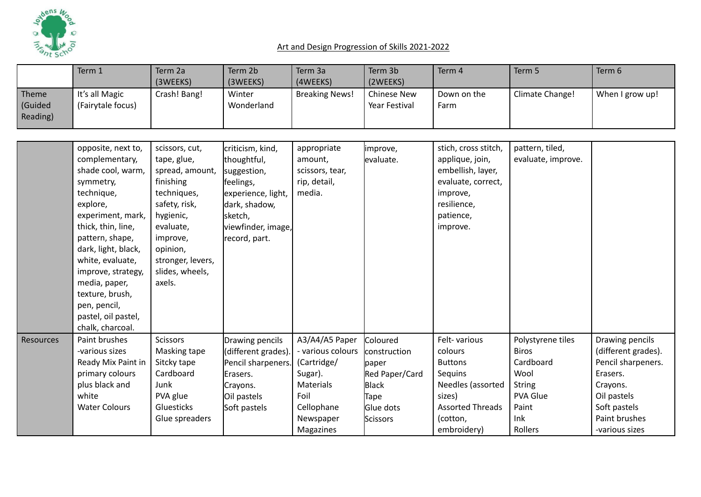

|           | Term 1               | Term 2a           | Term 2b             | Term 3a               | Term 3b            | Term 4                  | Term 5             | Term 6              |
|-----------|----------------------|-------------------|---------------------|-----------------------|--------------------|-------------------------|--------------------|---------------------|
|           |                      | (3WEEKS)          | (3WEEKS)            | (4WEEKS)              | (2WEEKS)           |                         |                    |                     |
| Theme     | It's all Magic       | Crash! Bang!      | Winter              | <b>Breaking News!</b> | <b>Chinese New</b> | Down on the             | Climate Change!    | When I grow up!     |
| (Guided   | (Fairytale focus)    |                   | Wonderland          |                       | Year Festival      | Farm                    |                    |                     |
| Reading)  |                      |                   |                     |                       |                    |                         |                    |                     |
|           |                      |                   |                     |                       |                    |                         |                    |                     |
|           | opposite, next to,   | scissors, cut,    | criticism, kind,    | appropriate           | improve,           | stich, cross stitch,    | pattern, tiled,    |                     |
|           | complementary,       | tape, glue,       | thoughtful,         | amount,               | levaluate.         | applique, join,         | evaluate, improve. |                     |
|           | shade cool, warm,    | spread, amount,   | suggestion,         | scissors, tear,       |                    | embellish, layer,       |                    |                     |
|           | symmetry,            | finishing         | feelings,           | rip, detail,          |                    | evaluate, correct,      |                    |                     |
|           | technique,           | techniques,       | experience, light,  | media.                |                    | improve,                |                    |                     |
|           | explore,             | safety, risk,     | dark, shadow,       |                       |                    | resilience,             |                    |                     |
|           | experiment, mark,    | hygienic,         | sketch,             |                       |                    | patience,               |                    |                     |
|           | thick, thin, line,   | evaluate,         | viewfinder, image,  |                       |                    | improve.                |                    |                     |
|           | pattern, shape,      | improve,          | record, part.       |                       |                    |                         |                    |                     |
|           | dark, light, black,  | opinion,          |                     |                       |                    |                         |                    |                     |
|           | white, evaluate,     | stronger, levers, |                     |                       |                    |                         |                    |                     |
|           | improve, strategy,   | slides, wheels,   |                     |                       |                    |                         |                    |                     |
|           | media, paper,        | axels.            |                     |                       |                    |                         |                    |                     |
|           | texture, brush,      |                   |                     |                       |                    |                         |                    |                     |
|           | pen, pencil,         |                   |                     |                       |                    |                         |                    |                     |
|           | pastel, oil pastel,  |                   |                     |                       |                    |                         |                    |                     |
|           | chalk, charcoal.     |                   |                     |                       |                    |                         |                    |                     |
| Resources | Paint brushes        | <b>Scissors</b>   | Drawing pencils     | A3/A4/A5 Paper        | Coloured           | Felt-various            | Polystyrene tiles  | Drawing pencils     |
|           | -various sizes       | Masking tape      | (different grades). | - various colours     | construction       | colours                 | <b>Biros</b>       | (different grades). |
|           | Ready Mix Paint in   | Sitcky tape       | Pencil sharpeners.  | (Cartridge/           | paper              | <b>Buttons</b>          | Cardboard          | Pencil sharpeners.  |
|           | primary colours      | Cardboard         | Erasers.            | Sugar).               | Red Paper/Card     | Sequins                 | Wool               | Erasers.            |
|           | plus black and       | Junk              | Crayons.            | <b>Materials</b>      | <b>Black</b>       | Needles (assorted       | <b>String</b>      | Crayons.            |
|           | white                | PVA glue          | Oil pastels         | Foil                  | Tape               | sizes)                  | <b>PVA Glue</b>    | Oil pastels         |
|           | <b>Water Colours</b> | Gluesticks        | Soft pastels        | Cellophane            | Glue dots          | <b>Assorted Threads</b> | Paint              | Soft pastels        |
|           |                      | Glue spreaders    |                     | Newspaper             | Scissors           | (cotton,                | Ink                | Paint brushes       |
|           |                      |                   |                     | Magazines             |                    | embroidery)             | Rollers            | -various sizes      |